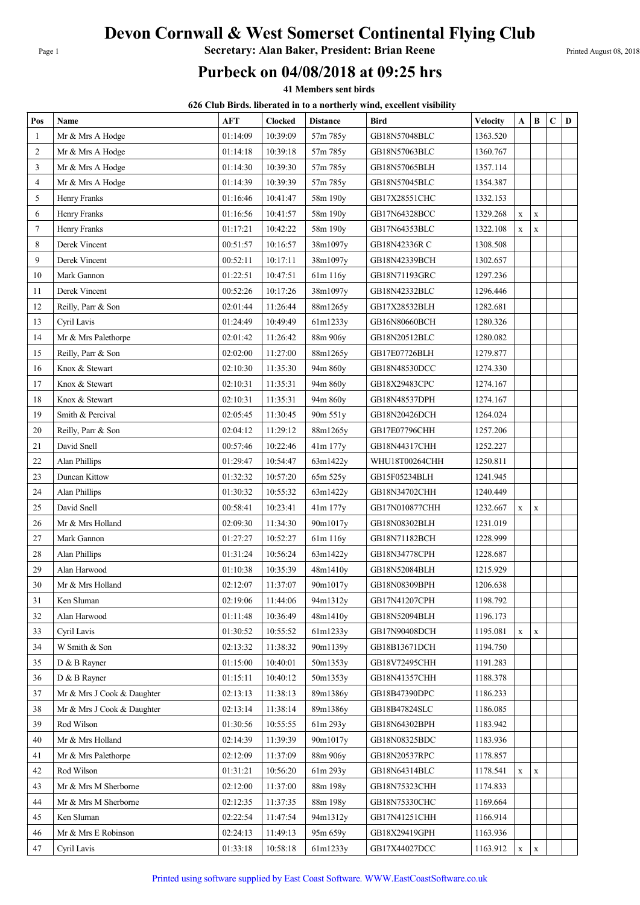## Devon Cornwall & West Somerset Continental Flying Club

Page 1 **Secretary: Alan Baker, President: Brian Reene** Printed August 08, 2018

## Purbeck on 04/08/2018 at 09:25 hrs

41 Members sent birds

626 Club Birds. liberated in to a northerly wind, excellent visibility

| Pos            | Name                       | <b>AFT</b> | <b>Clocked</b> | <b>Distance</b> | <b>Bird</b>    | <b>Velocity</b> | A           | $\bf{B}$    | C | $\mathbf D$ |
|----------------|----------------------------|------------|----------------|-----------------|----------------|-----------------|-------------|-------------|---|-------------|
| $\mathbf{1}$   | Mr & Mrs A Hodge           | 01:14:09   | 10:39:09       | 57m 785y        | GB18N57048BLC  | 1363.520        |             |             |   |             |
| $\overline{2}$ | Mr & Mrs A Hodge           | 01:14:18   | 10:39:18       | 57m 785y        | GB18N57063BLC  | 1360.767        |             |             |   |             |
| 3              | Mr & Mrs A Hodge           | 01:14:30   | 10:39:30       | 57m 785y        | GB18N57065BLH  | 1357.114        |             |             |   |             |
| $\overline{4}$ | Mr & Mrs A Hodge           | 01:14:39   | 10:39:39       | 57m 785y        | GB18N57045BLC  | 1354.387        |             |             |   |             |
| 5              | Henry Franks               | 01:16:46   | 10:41:47       | 58m 190y        | GB17X28551CHC  | 1332.153        |             |             |   |             |
| 6              | Henry Franks               | 01:16:56   | 10:41:57       | 58m 190y        | GB17N64328BCC  | 1329.268        | X           | $\mathbf X$ |   |             |
| 7              | Henry Franks               | 01:17:21   | 10:42:22       | 58m 190y        | GB17N64353BLC  | 1322.108        | $\mathbf x$ | $\mathbf X$ |   |             |
| 8              | Derek Vincent              | 00:51:57   | 10:16:57       | 38m1097y        | GB18N42336R C  | 1308.508        |             |             |   |             |
| 9              | Derek Vincent              | 00:52:11   | 10:17:11       | 38m1097y        | GB18N42339BCH  | 1302.657        |             |             |   |             |
| 10             | Mark Gannon                | 01:22:51   | 10:47:51       | 61m 116y        | GB18N71193GRC  | 1297.236        |             |             |   |             |
| 11             | Derek Vincent              | 00:52:26   | 10:17:26       | 38m1097y        | GB18N42332BLC  | 1296.446        |             |             |   |             |
| 12             | Reilly, Parr & Son         | 02:01:44   | 11:26:44       | 88m1265y        | GB17X28532BLH  | 1282.681        |             |             |   |             |
| 13             | Cyril Lavis                | 01:24:49   | 10:49:49       | 61m1233y        | GB16N80660BCH  | 1280.326        |             |             |   |             |
| 14             | Mr & Mrs Palethorpe        | 02:01:42   | 11:26:42       | 88m 906y        | GB18N20512BLC  | 1280.082        |             |             |   |             |
| 15             | Reilly, Parr & Son         | 02:02:00   | 11:27:00       | 88m1265y        | GB17E07726BLH  | 1279.877        |             |             |   |             |
| 16             | Knox & Stewart             | 02:10:30   | 11:35:30       | 94m 860y        | GB18N48530DCC  | 1274.330        |             |             |   |             |
| 17             | Knox & Stewart             | 02:10:31   | 11:35:31       | 94m 860y        | GB18X29483CPC  | 1274.167        |             |             |   |             |
| 18             | Knox & Stewart             | 02:10:31   | 11:35:31       | 94m 860y        | GB18N48537DPH  | 1274.167        |             |             |   |             |
| 19             | Smith & Percival           | 02:05:45   | 11:30:45       | 90m 551y        | GB18N20426DCH  | 1264.024        |             |             |   |             |
| 20             | Reilly, Parr & Son         | 02:04:12   | 11:29:12       | 88m1265y        | GB17E07796CHH  | 1257.206        |             |             |   |             |
| 21             | David Snell                | 00:57:46   | 10:22:46       | 41m 177y        | GB18N44317CHH  | 1252.227        |             |             |   |             |
| 22             | <b>Alan Phillips</b>       | 01:29:47   | 10:54:47       | 63m1422y        | WHU18T00264CHH | 1250.811        |             |             |   |             |
| 23             | Duncan Kittow              | 01:32:32   | 10:57:20       | 65m 525y        | GB15F05234BLH  | 1241.945        |             |             |   |             |
| 24             | Alan Phillips              | 01:30:32   | 10:55:32       | 63m1422y        | GB18N34702CHH  | 1240.449        |             |             |   |             |
| 25             | David Snell                | 00:58:41   | 10:23:41       | 41m 177y        | GB17N010877CHH | 1232.667        | $\mathbf x$ | $\mathbf X$ |   |             |
| 26             | Mr & Mrs Holland           | 02:09:30   | 11:34:30       | 90m1017y        | GB18N08302BLH  | 1231.019        |             |             |   |             |
| $27\,$         | Mark Gannon                | 01:27:27   | 10:52:27       | 61m 116y        | GB18N71182BCH  | 1228.999        |             |             |   |             |
| 28             | Alan Phillips              | 01:31:24   | 10:56:24       | 63m1422y        | GB18N34778CPH  | 1228.687        |             |             |   |             |
| 29             | Alan Harwood               | 01:10:38   | 10:35:39       | 48m1410y        | GB18N52084BLH  | 1215.929        |             |             |   |             |
| 30             | Mr & Mrs Holland           | 02:12:07   | 11:37:07       | 90m1017y        | GB18N08309BPH  | 1206.638        |             |             |   |             |
| 31             | Ken Sluman                 | 02:19:06   | 11:44:06       | 94m1312y        | GB17N41207CPH  | 1198.792        |             |             |   |             |
| 32             | Alan Harwood               | 01:11:48   | 10:36:49       | 48m1410y        | GB18N52094BLH  | 1196.173        |             |             |   |             |
| 33             | Cyril Lavis                | 01:30:52   | 10:55:52       | 61m1233y        | GB17N90408DCH  | 1195.081        | $\mathbf x$ | $\mathbf X$ |   |             |
| 34             | W Smith & Son              | 02:13:32   | 11:38:32       | 90m1139y        | GB18B13671DCH  | 1194.750        |             |             |   |             |
| 35             | D & B Rayner               | 01:15:00   | 10:40:01       | 50m1353y        | GB18V72495CHH  | 1191.283        |             |             |   |             |
| 36             | D & B Rayner               | 01:15:11   | 10:40:12       | 50m1353y        | GB18N41357CHH  | 1188.378        |             |             |   |             |
| 37             | Mr & Mrs J Cook & Daughter | 02:13:13   | 11:38:13       | 89m1386y        | GB18B47390DPC  | 1186.233        |             |             |   |             |
| 38             | Mr & Mrs J Cook & Daughter | 02:13:14   | 11:38:14       | 89m1386y        | GB18B47824SLC  | 1186.085        |             |             |   |             |
| 39             | Rod Wilson                 | 01:30:56   | 10:55:55       | 61m 293y        | GB18N64302BPH  | 1183.942        |             |             |   |             |
| 40             | Mr & Mrs Holland           | 02:14:39   | 11:39:39       | 90m1017y        | GB18N08325BDC  | 1183.936        |             |             |   |             |
| 41             | Mr & Mrs Palethorpe        | 02:12:09   | 11:37:09       | 88m 906y        | GB18N20537RPC  | 1178.857        |             |             |   |             |
| 42             | Rod Wilson                 | 01:31:21   | 10:56:20       | 61m 293y        | GB18N64314BLC  | 1178.541        | X           | X           |   |             |
| 43             | Mr & Mrs M Sherborne       | 02:12:00   | 11:37:00       | 88m 198y        | GB18N75323CHH  | 1174.833        |             |             |   |             |
| 44             | Mr & Mrs M Sherborne       | 02:12:35   | 11:37:35       | 88m 198y        | GB18N75330CHC  | 1169.664        |             |             |   |             |
| 45             | Ken Sluman                 | 02:22:54   | 11:47:54       | 94m1312y        | GB17N41251CHH  | 1166.914        |             |             |   |             |
| 46             | Mr & Mrs E Robinson        | 02:24:13   | 11:49:13       | 95m 659y        | GB18X29419GPH  | 1163.936        |             |             |   |             |
| 47             | Cyril Lavis                | 01:33:18   | 10:58:18       | 61m1233y        | GB17X44027DCC  | 1163.912        | X           | $\mathbf X$ |   |             |